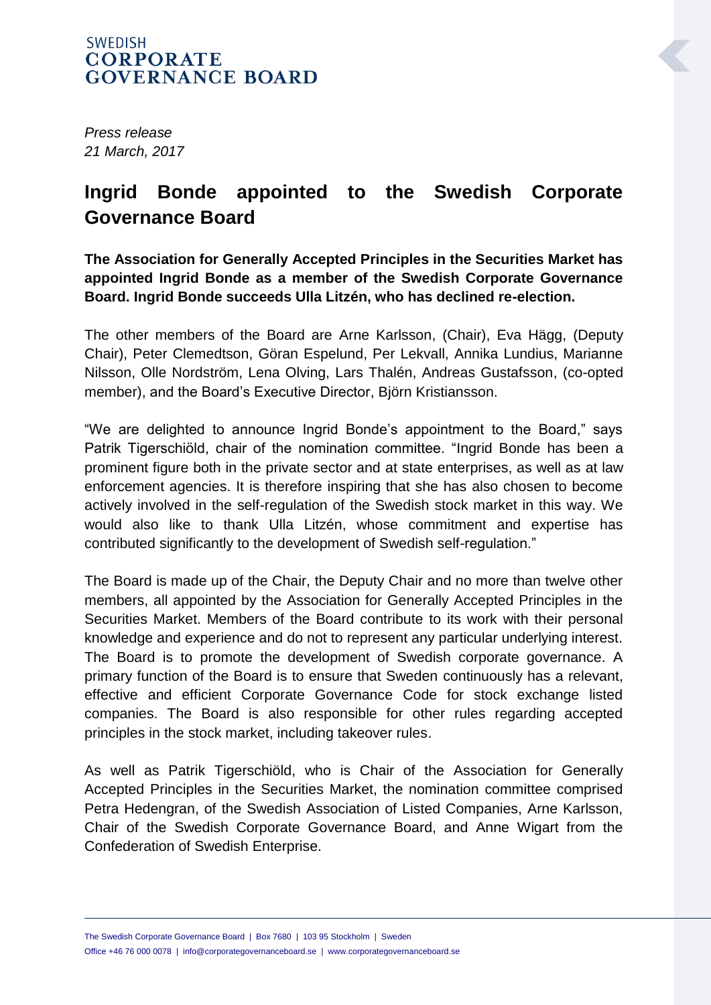## **SWEDISH CORPORATE GOVERNANCE BOARD**

*Press release 21 March, 2017*

## **Ingrid Bonde appointed to the Swedish Corporate Governance Board**

**The Association for Generally Accepted Principles in the Securities Market has appointed Ingrid Bonde as a member of the Swedish Corporate Governance Board. Ingrid Bonde succeeds Ulla Litzén, who has declined re-election.**

The other members of the Board are Arne Karlsson, (Chair), Eva Hägg, (Deputy Chair), Peter Clemedtson, Göran Espelund, Per Lekvall, Annika Lundius, Marianne Nilsson, Olle Nordström, Lena Olving, Lars Thalén, Andreas Gustafsson, (co-opted member), and the Board's Executive Director, Björn Kristiansson.

"We are delighted to announce Ingrid Bonde's appointment to the Board," says Patrik Tigerschiöld, chair of the nomination committee. "Ingrid Bonde has been a prominent figure both in the private sector and at state enterprises, as well as at law enforcement agencies. It is therefore inspiring that she has also chosen to become actively involved in the self-regulation of the Swedish stock market in this way. We would also like to thank Ulla Litzén, whose commitment and expertise has contributed significantly to the development of Swedish self-regulation."

The Board is made up of the Chair, the Deputy Chair and no more than twelve other members, all appointed by the Association for Generally Accepted Principles in the Securities Market. Members of the Board contribute to its work with their personal knowledge and experience and do not to represent any particular underlying interest. The Board is to promote the development of Swedish corporate governance. A primary function of the Board is to ensure that Sweden continuously has a relevant, effective and efficient Corporate Governance Code for stock exchange listed companies. The Board is also responsible for other rules regarding accepted principles in the stock market, including takeover rules.

As well as Patrik Tigerschiöld, who is Chair of the Association for Generally Accepted Principles in the Securities Market, the nomination committee comprised Petra Hedengran, of the Swedish Association of Listed Companies, Arne Karlsson, Chair of the Swedish Corporate Governance Board, and Anne Wigart from the Confederation of Swedish Enterprise.